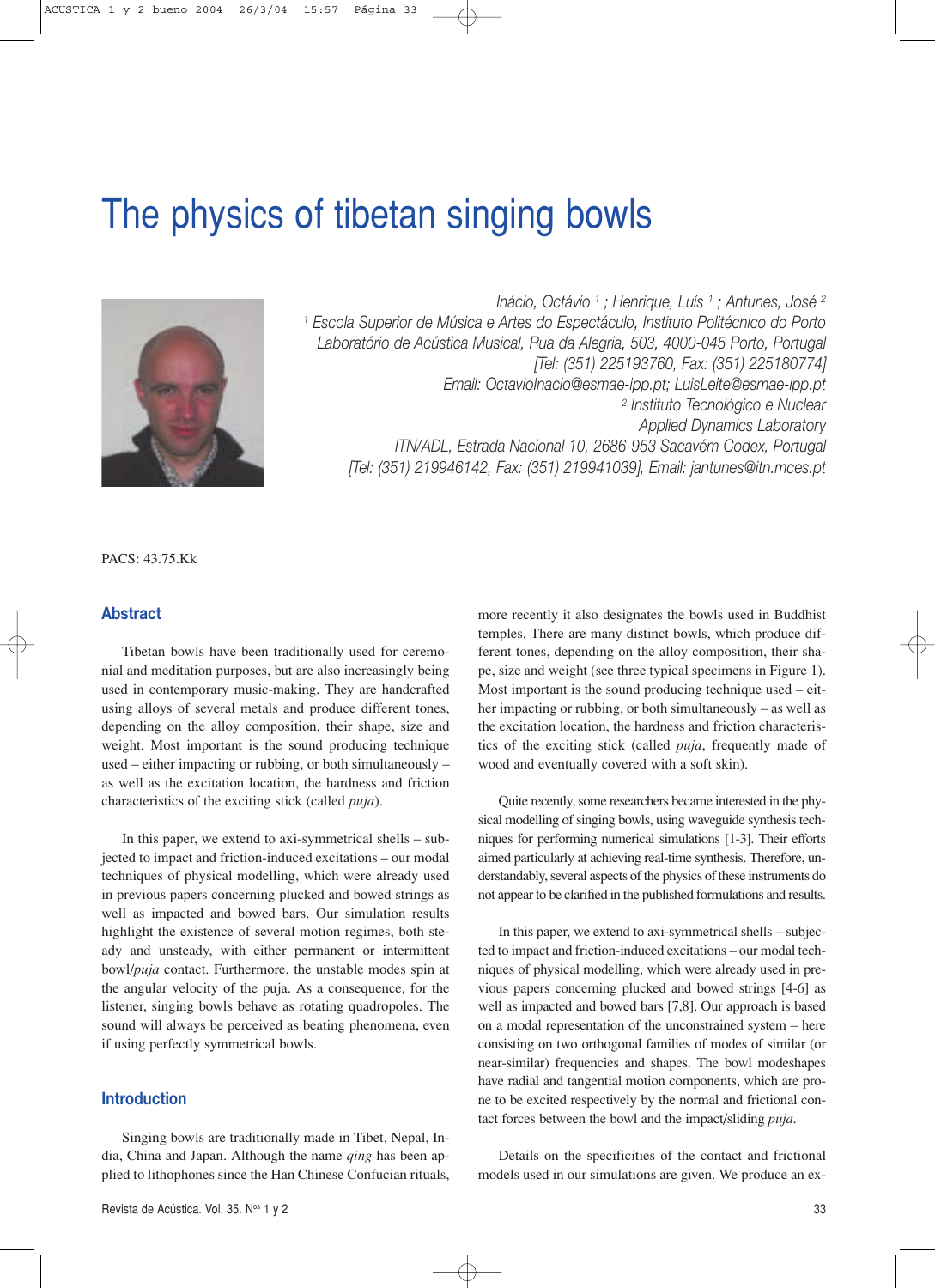# The physics of tibetan singing bowls



*Inácio, Octávio 1 ; Henrique, Luís 1 ; Antunes, José 2 <sup>1</sup> Escola Superior de Música e Artes do Espectáculo, Instituto Politécnico do Porto Laboratório de Acústica Musical, Rua da Alegria, 503, 4000-045 Porto, Portugal [Tel: (351) 225193760, Fax: (351) 225180774] Email: OctavioInacio@esmae-ipp.pt; LuisLeite@esmae-ipp.pt <sup>2</sup> Instituto Tecnológico e Nuclear Applied Dynamics Laboratory ITN/ADL, Estrada Nacional 10, 2686-953 Sacavém Codex, Portugal [Tel: (351) 219946142, Fax: (351) 219941039], Email: jantunes@itn.mces.pt*

PACS: 43.75.Kk

# **Abstract**

Tibetan bowls have been traditionally used for ceremonial and meditation purposes, but are also increasingly being used in contemporary music-making. They are handcrafted using alloys of several metals and produce different tones, depending on the alloy composition, their shape, size and weight. Most important is the sound producing technique used – either impacting or rubbing, or both simultaneously – as well as the excitation location, the hardness and friction characteristics of the exciting stick (called *puja*).

In this paper, we extend to axi-symmetrical shells – subjected to impact and friction-induced excitations – our modal techniques of physical modelling, which were already used in previous papers concerning plucked and bowed strings as well as impacted and bowed bars. Our simulation results highlight the existence of several motion regimes, both steady and unsteady, with either permanent or intermittent bowl/*puja* contact. Furthermore, the unstable modes spin at the angular velocity of the puja. As a consequence, for the listener, singing bowls behave as rotating quadropoles. The sound will always be perceived as beating phenomena, even if using perfectly symmetrical bowls.

# **Introduction**

Singing bowls are traditionally made in Tibet, Nepal, India, China and Japan. Although the name *qing* has been applied to lithophones since the Han Chinese Confucian rituals, temples. There are many distinct bowls, which produce different tones, depending on the alloy composition, their shape, size and weight (see three typical specimens in Figure 1). Most important is the sound producing technique used – either impacting or rubbing, or both simultaneously – as well as the excitation location, the hardness and friction characteristics of the exciting stick (called *puja*, frequently made of wood and eventually covered with a soft skin). Quite recently, some researchers became interested in the phy-

more recently it also designates the bowls used in Buddhist

sical modelling of singing bowls, using waveguide synthesis techniques for performing numerical simulations [1-3]. Their efforts aimed particularly at achieving real-time synthesis. Therefore, understandably, several aspects of the physics of these instruments do not appear to be clarified in the published formulations and results.

In this paper, we extend to axi-symmetrical shells – subjected to impact and friction-induced excitations – our modal techniques of physical modelling, which were already used in previous papers concerning plucked and bowed strings [4-6] as well as impacted and bowed bars [7,8]. Our approach is based on a modal representation of the unconstrained system – here consisting on two orthogonal families of modes of similar (or near-similar) frequencies and shapes. The bowl modeshapes have radial and tangential motion components, which are prone to be excited respectively by the normal and frictional contact forces between the bowl and the impact/sliding *puja*.

Details on the specificities of the contact and frictional models used in our simulations are given. We produce an ex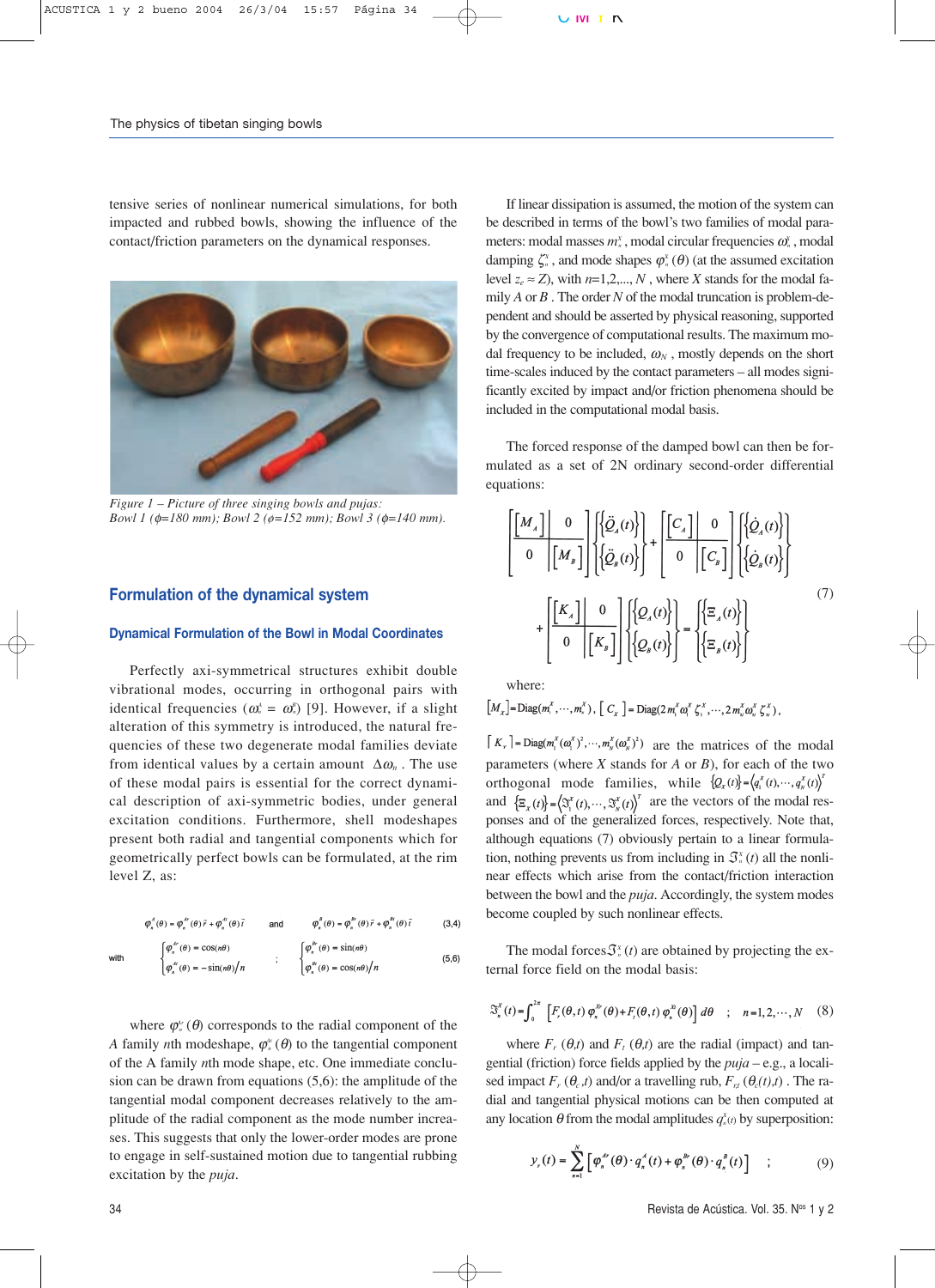tensive series of nonlinear numerical simulations, for both impacted and rubbed bowls, showing the influence of the contact/friction parameters on the dynamical responses.



*Figure 1 – Picture of three singing bowls and pujas: Bowl 1 (*φ*=180 mm); Bowl 2 (ø=152 mm); Bowl 3 (*φ*=140 mm).*

# **Formulation of the dynamical system**

#### **Dynamical Formulation of the Bowl in Modal Coordinates**

Perfectly axi-symmetrical structures exhibit double vibrational modes, occurring in orthogonal pairs with identical frequencies ( $\omega_n^A = \omega_n^B$ ) [9]. However, if a slight alteration of this symmetry is introduced, the natural frequencies of these two degenerate modal families deviate from identical values by a certain amount  $\Delta \omega_n$ . The use of these modal pairs is essential for the correct dynamical description of axi-symmetric bodies, under general excitation conditions. Furthermore, shell modeshapes present both radial and tangential components which for geometrically perfect bowls can be formulated, at the rim level Z, as:

$$
\varphi_{n}^{A}(\theta) = \varphi_{n}^{A'}(\theta)\vec{r} + \varphi_{n}^{A'}(\theta)\vec{t}
$$
 and 
$$
\varphi_{n}^{B}(\theta) = \varphi_{n}^{B'}(\theta)\vec{r} + \varphi_{n}^{B'}(\theta)\vec{t}
$$
 (3,4)  
with 
$$
\begin{cases} \varphi_{n}^{A'}(\theta) = \cos(n\theta) \\ \varphi_{n}^{B'}(\theta) = -\sin(n\theta)/n \end{cases}
$$
  $\qquad \qquad \begin{cases} \varphi_{n}^{B'}(\theta) = \sin(n\theta) \\ \varphi_{n}^{B'}(\theta) = \cos(n\theta)/n \end{cases}$  (5,6)

where  $\varphi_n^{\alpha}(\theta)$  corresponds to the radial component of the *A* family *n*th modeshape,  $\varphi_n^{\alpha}(\theta)$  to the tangential component of the A family *n*th mode shape, etc. One immediate conclusion can be drawn from equations (5,6): the amplitude of the tangential modal component decreases relatively to the amplitude of the radial component as the mode number increases. This suggests that only the lower-order modes are prone to engage in self-sustained motion due to tangential rubbing excitation by the *puja*.

If linear dissipation is assumed, the motion of the system can be described in terms of the bowl's two families of modal parameters: modal masses  $m<sub>n</sub><sup>x</sup>$ , modal circular frequencies  $\omega<sub>n</sub><sup>x</sup>$ , modal damping  $\zeta^x$ , and mode shapes  $\varphi^x$  ( $\theta$ ) (at the assumed excitation level  $z_e \approx Z$ ), with  $n=1,2,...,N$ , where *X* stands for the modal family *A* or *B* . The order *N* of the modal truncation is problem-dependent and should be asserted by physical reasoning, supported by the convergence of computational results. The maximum modal frequency to be included,  $\omega_N$ , mostly depends on the short time-scales induced by the contact parameters – all modes significantly excited by impact and/or friction phenomena should be included in the computational modal basis.

The forced response of the damped bowl can then be formulated as a set of 2N ordinary second-order differential equations:

$$
\begin{bmatrix}\nM_A\n\end{bmatrix}\n\begin{bmatrix}\n0 \\
0\n\end{bmatrix}\n\begin{bmatrix}\n\{\tilde{Q}_A(t)\}\n\end{bmatrix} + \n\begin{bmatrix}\nC_A\n\end{bmatrix}\n\begin{bmatrix}\n0 \\
0\n\end{bmatrix}\n\begin{bmatrix}\n\{\dot{Q}_A(t)\}\n\end{bmatrix}
$$
\n
$$
+\n\begin{bmatrix}\nK_A\n\end{bmatrix}\n\begin{bmatrix}\n0 \\
0\n\end{bmatrix}\n\begin{bmatrix}\nQ_A(t)\}\n\end{bmatrix} = \n\begin{bmatrix}\n\{\Xi_A(t)\}\n\end{bmatrix}
$$
\n(7)\n(7)

where:

$$
\left[M_x\right] = \text{Diag}(m^x, \cdots, m^x) , \left[C_x\right] = \text{Diag}(2\,m^x \omega^x, \zeta^x, \cdots, 2\,m^x \omega^x, \zeta^x, \omega^x)
$$

 $\left[K_{r}\right]$  =  $Diag(m_{1}^{x}(\omega_{1}^{x})^{2}, \cdots, m_{n}^{x}(\omega_{n}^{x})^{2})$  are the matrices of the modal parameters (where *X* stands for *A* or *B*), for each of the two orthogonal mode families, while  $\{Q_x(t)\} = \langle q_x^x(t), \dots, q_x^x(t) \rangle^T$ and  $\{\mathbf{E}_x(t)\} = (\mathcal{F}_x^x(t), \dots, \mathcal{F}_x^x(t))^T$  are the vectors of the modal responses and of the generalized forces, respectively. Note that, although equations (7) obviously pertain to a linear formulation, nothing prevents us from including in  $\mathcal{F}^{\text{x}}_{n}(t)$  all the nonlinear effects which arise from the contact/friction interaction between the bowl and the *puja*. Accordingly, the system modes become coupled by such nonlinear effects.

The modal forces  $\mathcal{F}_{n}^{x}(t)$  are obtained by projecting the external force field on the modal basis:

$$
\mathcal{S}_n^{\kappa}(t) = \int_0^{2\pi} \left[ F_r(\theta, t) \varphi_n^{\kappa}(\theta) + F_r(\theta, t) \varphi_n^{\kappa}(\theta) \right] d\theta \quad ; \quad n = 1, 2, \cdots, N \quad (8)
$$

where  $F_r$  ( $\theta$ ,*t*) and  $F_t$  ( $\theta$ ,*t*) are the radial (impact) and tangential (friction) force fields applied by the *puja* – e.g., a localised impact  $F_r$  ( $\theta_c$ ,*t*) and/or a travelling rub,  $F_{r,t}$  ( $\theta_c(t)$ ,*t*). The radial and tangential physical motions can be then computed at any location  $\theta$  from the modal amplitudes  $q_n^{\chi}(t)$  by superposition:

$$
y_r(t) = \sum_{n=1}^{N} \left[ \varphi_n^{A^n}(\theta) \cdot q_n^{A}(t) + \varphi_n^{B^n}(\theta) \cdot q_n^{B}(t) \right] \quad ; \tag{9}
$$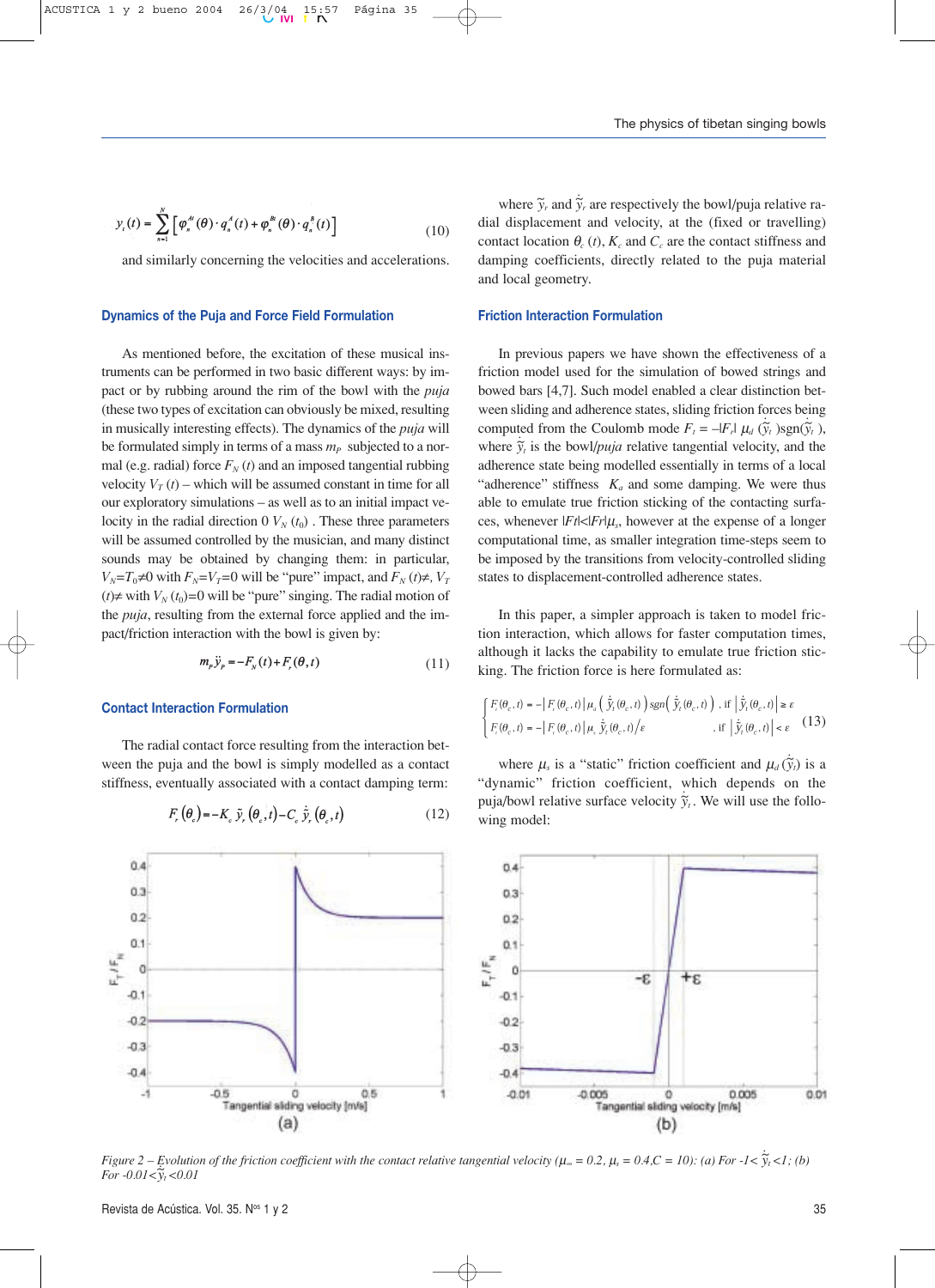$$
y_{i}(t) = \sum_{n=1}^{N} \left[ \varphi_{n}^{A}(\theta) \cdot q_{n}^{A}(t) + \varphi_{n}^{B}(\theta) \cdot q_{n}^{B}(t) \right]
$$
(10)

and similarly concerning the velocities and accelerations.

## **Dynamics of the Puja and Force Field Formulation**

As mentioned before, the excitation of these musical instruments can be performed in two basic different ways: by impact or by rubbing around the rim of the bowl with the *puja* (these two types of excitation can obviously be mixed, resulting in musically interesting effects). The dynamics of the *puja* will be formulated simply in terms of a mass  $m_P$  subjected to a normal (e.g. radial) force  $F_N(t)$  and an imposed tangential rubbing velocity  $V_T(t)$  – which will be assumed constant in time for all our exploratory simulations – as well as to an initial impact velocity in the radial direction  $0$   $V_N(t_0)$ . These three parameters will be assumed controlled by the musician, and many distinct sounds may be obtained by changing them: in particular, *V<sub>N</sub>*=*T*<sub>0</sub>≠0 with *F<sub>N</sub>*=*V<sub>T</sub>*=0 will be "pure" impact, and *F<sub>N</sub>* (*t*)≠*, V<sub>T</sub>* (*t*)≠ with  $V_N(t_0)=0$  will be "pure" singing. The radial motion of the *puja*, resulting from the external force applied and the impact/friction interaction with the bowl is given by:

$$
m_p \ddot{y}_p = -F_N(t) + F_r(\theta, t) \tag{11}
$$

#### **Contact Interaction Formulation**

The radial contact force resulting from the interaction between the puja and the bowl is simply modelled as a contact stiffness, eventually associated with a contact damping term:

$$
F_r\left(\theta_c\right) = -K_c \tilde{y}_r\left(\theta_c, t\right) - C_c \dot{\tilde{y}}_r\left(\theta_c, t\right) \tag{12}
$$

where  $\tilde{y}_r$  and  $\dot{\tilde{y}}$ *yr* are respectively the bowl/puja relative radial displacement and velocity, at the (fixed or travelling) contact location  $\theta_c(t)$ ,  $K_c$  and  $C_c$  are the contact stiffness and damping coefficients, directly related to the puja material and local geometry.

## **Friction Interaction Formulation**

In previous papers we have shown the effectiveness of a friction model used for the simulation of bowed strings and bowed bars [4,7]. Such model enabled a clear distinction between sliding and adherence states, sliding friction forces being *. .* computed from the Coulomb mode  $F_t = -|F_t| \mu_d (\tilde{y}_t)$ ,  $\text{sgn}(\tilde{y}_t)$ , where  $\dot{\tilde{y}}_t$  is the bowl/*puja* relative tangential velocity, and the adherence state being modelled essentially in terms of a local "adherence" stiffness  $K_a$  and some damping. We were thus able to emulate true friction sticking of the contacting surfaces, whenever  $|F_t| \leq |F_r| \mu_s$ , however at the expense of a longer computational time, as smaller integration time-steps seem to be imposed by the transitions from velocity-controlled sliding states to displacement-controlled adherence states.

In this paper, a simpler approach is taken to model friction interaction, which allows for faster computation times, although it lacks the capability to emulate true friction sticking. The friction force is here formulated as:

$$
\int_{F_t} F_t(\theta_c, t) = -\left| F_r(\theta_c, t) \right| \mu_a \left( \tilde{y}_t(\theta_c, t) \right) sgn\left( \tilde{y}_t(\theta_c, t) \right), \text{ if } \left| \tilde{y}_t(\theta_c, t) \right| \ge \varepsilon
$$
\n
$$
\int_{F_t} F_t(\theta_c, t) = -\left| F_r(\theta_c, t) \right| \mu_s \tilde{y}_t(\theta_c, t) / \varepsilon, \quad \text{ if } \left| \tilde{y}_t(\theta_c, t) \right| < \varepsilon \quad (13)
$$

 $\sim 10^{-1}$ 

where  $\mu_s$  is a "static" friction coefficient and  $\mu_d(\dot{\tilde{y}})$  $\widetilde{y}_t$ ) is a "dynamic" friction coefficient, which depends on the *.* puja/bowl relative surface velocity  $\dot{\tilde{y}}_t$ . We will use the following model:



*Figure 2 – Evolution of the friction coefficient with the contact relative tangential velocity (* $\mu_{\infty} = 0.2$ *,*  $\mu_{s} = 0.4$ *,C = 10): (a) For -1<*  $\dot{\widetilde{y}}$ *Evolution of the friction coefficient with the contact relative tangential velocity (* $\mu_{\infty} = 0.2$ *,*  $\mu_{s} = 0.4$ *,*  $C = 10$ *): (a) For*  $-1 < \tilde{y}_t < 1$ *; (b) For*  $-0.01 < \tilde{y}_t < 0.01$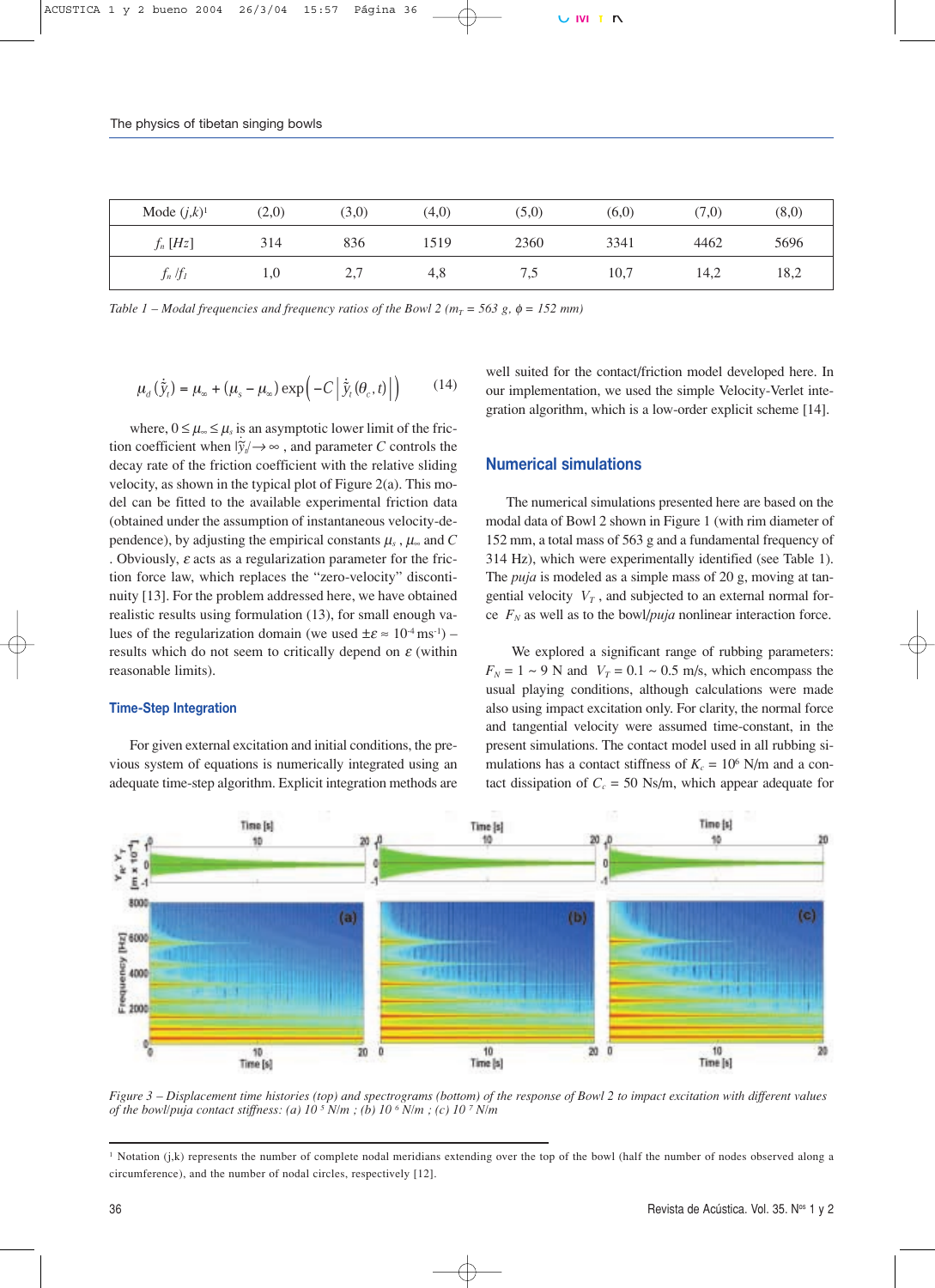| Mode $(j,k)^1$ | (2,0) | (3,0)      | (4,0) | (5,0) | (6,0) | (7,0) | (8,0) |
|----------------|-------|------------|-------|-------|-------|-------|-------|
| $f_n[Hz]$      | 314   | 836        | 1519  | 2360  | 3341  | 4462  | 5696  |
| $f_n/f_I$      | 1,0   | <u>، ،</u> | 4,8   | 7,5   | 10,7  | 14,2  | 18,2  |

*Table 1 – Modal frequencies and frequency ratios of the Bowl 2 (* $m<sub>T</sub>$  *= 563 g,*  $\phi$  *= 152 mm)* 

$$
\mu_d\left(\dot{\tilde{y}}_t\right) = \mu_\infty + \left(\mu_s - \mu_\infty\right) \exp\left(-C\left|\dot{\tilde{y}}_t(\theta_c, t)\right|\right) \tag{14}
$$

where,  $0 \leq \mu_{\infty} \leq \mu_s$  is an asymptotic lower limit of the friction coefficient when  $|\dot{\tilde{y}}_i| \rightarrow \infty$ , and parameter *C* controls the decay rate of the friction coefficient with the relative sliding velocity, as shown in the typical plot of Figure 2(a). This model can be fitted to the available experimental friction data (obtained under the assumption of instantaneous velocity-dependence), by adjusting the empirical constants  $\mu_s$ ,  $\mu_\infty$  and  $C$ . Obviously,  $\varepsilon$  acts as a regularization parameter for the friction force law, which replaces the "zero-velocity" discontinuity [13]. For the problem addressed here, we have obtained realistic results using formulation (13), for small enough values of the regularization domain (we used  $\pm \varepsilon \approx 10^{-4} \text{ ms}^{-1}$ ) – results which do not seem to critically depend on  $\varepsilon$  (within reasonable limits).

### **Time-Step Integration**

For given external excitation and initial conditions, the previous system of equations is numerically integrated using an adequate time-step algorithm. Explicit integration methods are well suited for the contact/friction model developed here. In our implementation, we used the simple Velocity-Verlet integration algorithm, which is a low-order explicit scheme [14].

# **Numerical simulations**

The numerical simulations presented here are based on the modal data of Bowl 2 shown in Figure 1 (with rim diameter of 152 mm, a total mass of 563 g and a fundamental frequency of 314 Hz), which were experimentally identified (see Table 1). The *puja* is modeled as a simple mass of 20 g, moving at tangential velocity  $V_T$ , and subjected to an external normal force  $F_N$  as well as to the bowl/*puja* nonlinear interaction force.

We explored a significant range of rubbing parameters:  $F_N = 1 \sim 9$  N and  $V_T = 0.1 \sim 0.5$  m/s, which encompass the usual playing conditions, although calculations were made also using impact excitation only. For clarity, the normal force and tangential velocity were assumed time-constant, in the present simulations. The contact model used in all rubbing simulations has a contact stiffness of  $K_c = 10^6$  N/m and a contact dissipation of  $C_c = 50$  Ns/m, which appear adequate for



*Figure 3 – Displacement time histories (top) and spectrograms (bottom) of the response of Bowl 2 to impact excitation with different values of the bowl/puja contact stiffness: (a) 10 5 N/m ; (b) 10 6 N/m ; (c) 10 7 N/m* 

<sup>1</sup> Notation (j,k) represents the number of complete nodal meridians extending over the top of the bowl (half the number of nodes observed along a circumference), and the number of nodal circles, respectively [12].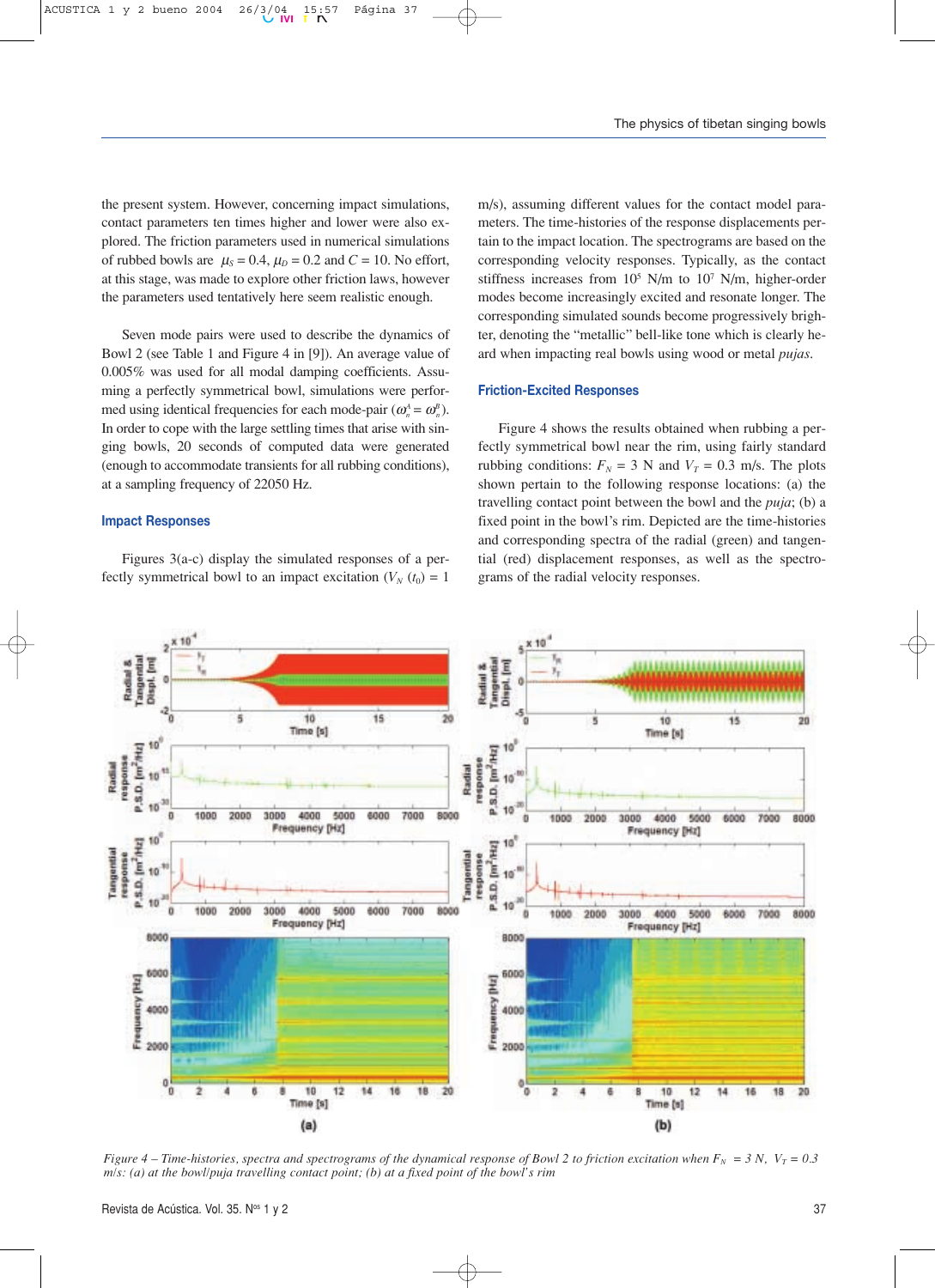the present system. However, concerning impact simulations, contact parameters ten times higher and lower were also explored. The friction parameters used in numerical simulations of rubbed bowls are  $\mu_s = 0.4$ ,  $\mu_D = 0.2$  and  $C = 10$ . No effort, at this stage, was made to explore other friction laws, however the parameters used tentatively here seem realistic enough.

Seven mode pairs were used to describe the dynamics of Bowl 2 (see Table 1 and Figure 4 in [9]). An average value of 0.005% was used for all modal damping coefficients. Assuming a perfectly symmetrical bowl, simulations were performed using identical frequencies for each mode-pair  $(\omega_n^A = \omega_n^B)$ . In order to cope with the large settling times that arise with singing bowls, 20 seconds of computed data were generated (enough to accommodate transients for all rubbing conditions), at a sampling frequency of 22050 Hz.

#### **Impact Responses**

Figures 3(a-c) display the simulated responses of a perfectly symmetrical bowl to an impact excitation  $(V_N(t_0) = 1)$  m/s), assuming different values for the contact model parameters. The time-histories of the response displacements pertain to the impact location. The spectrograms are based on the corresponding velocity responses. Typically, as the contact stiffness increases from  $10^5$  N/m to  $10^7$  N/m, higher-order modes become increasingly excited and resonate longer. The corresponding simulated sounds become progressively brighter, denoting the "metallic" bell-like tone which is clearly heard when impacting real bowls using wood or metal *pujas*.

#### **Friction-Excited Responses**

Figure 4 shows the results obtained when rubbing a perfectly symmetrical bowl near the rim, using fairly standard rubbing conditions:  $F_N = 3$  N and  $V_T = 0.3$  m/s. The plots shown pertain to the following response locations: (a) the travelling contact point between the bowl and the *puja*; (b) a fixed point in the bowl's rim. Depicted are the time-histories and corresponding spectra of the radial (green) and tangential (red) displacement responses, as well as the spectrograms of the radial velocity responses.



*Figure 4 – Time-histories, spectra and spectrograms of the dynamical response of Bowl 2 to friction excitation when*  $F_N = 3 N$ *,*  $V_T = 0.3$ *m/s: (a) at the bowl/puja travelling contact point; (b) at a fixed point of the bowl's rim*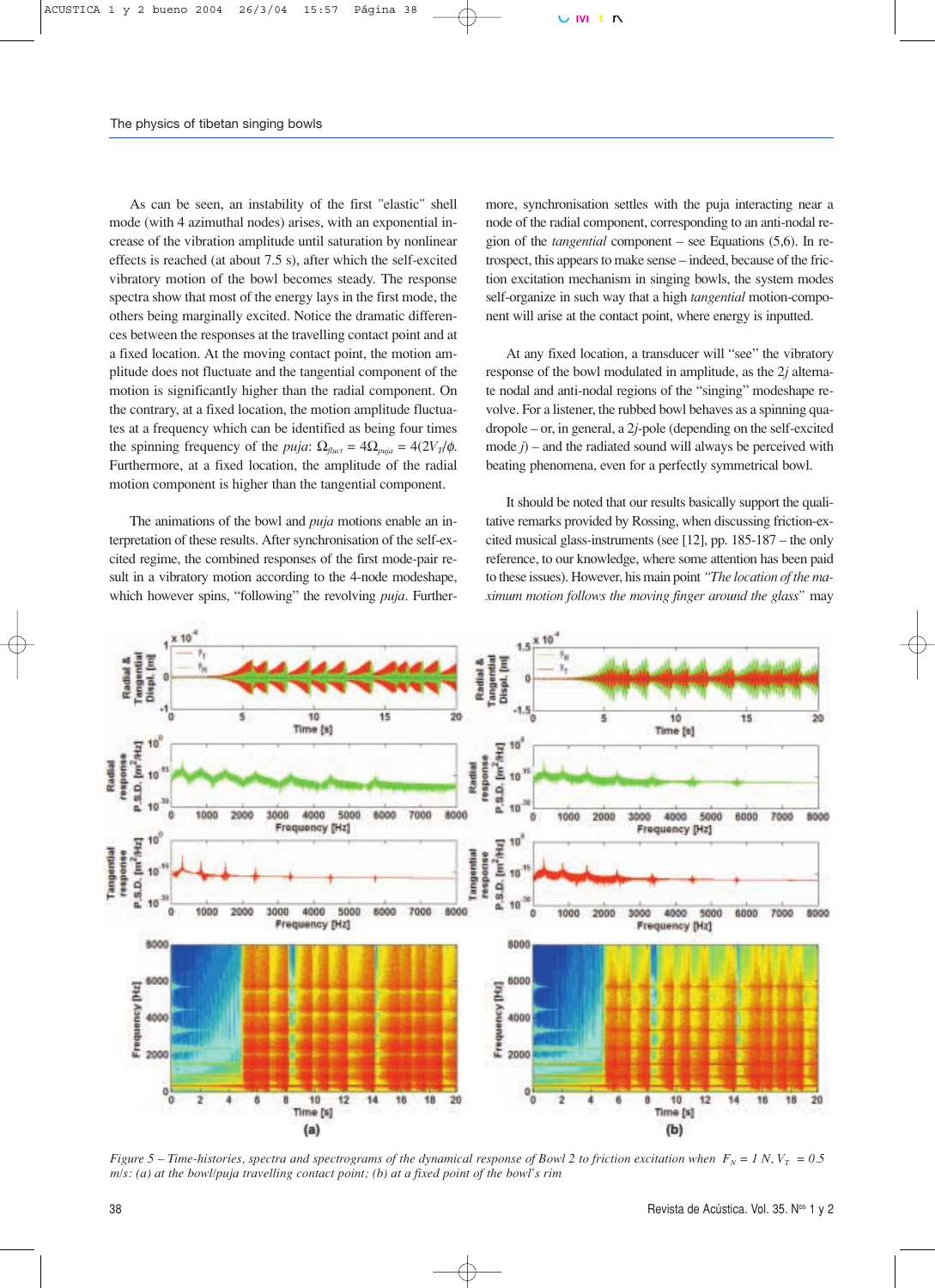As can be seen, an instability of the first "elastic" shell mode (with 4 azimuthal nodes) arises, with an exponential increase of the vibration amplitude until saturation by nonlinear effects is reached (at about 7.5 s), after which the self-excited vibratory motion of the bowl becomes steady. The response spectra show that most of the energy lays in the first mode, the others being marginally excited. Notice the dramatic differences between the responses at the travelling contact point and at a fixed location. At the moving contact point, the motion amplitude does not fluctuate and the tangential component of the motion is significantly higher than the radial component. On the contrary, at a fixed location, the motion amplitude fluctuates at a frequency which can be identified as being four times the spinning frequency of the *puja*:  $\Omega_{\text{fluct}} = 4\Omega_{\text{pula}} = 4(2V_T/\phi)$ . Furthermore, at a fixed location, the amplitude of the radial motion component is higher than the tangential component.

The animations of the bowl and *puja* motions enable an interpretation of these results. After synchronisation of the self-excited regime, the combined responses of the first mode-pair result in a vibratory motion according to the 4-node modeshape, which however spins, "following" the revolving *puja*. Furthermore, synchronisation settles with the puja interacting near a node of the radial component, corresponding to an anti-nodal region of the *tangential* component – see Equations (5,6). In retrospect, this appears to make sense – indeed, because of the friction excitation mechanism in singing bowls, the system modes self-organize in such way that a high *tangential* motion-component will arise at the contact point, where energy is inputted.

At any fixed location, a transducer will "see" the vibratory response of the bowl modulated in amplitude, as the 2*j* alternate nodal and anti-nodal regions of the "singing" modeshape revolve. For a listener, the rubbed bowl behaves as a spinning quadropole – or, in general, a 2*j*-pole (depending on the self-excited mode *j*) – and the radiated sound will always be perceived with beating phenomena, even for a perfectly symmetrical bowl.

It should be noted that our results basically support the qualitative remarks provided by Rossing, when discussing friction-excited musical glass-instruments (see [12], pp. 185-187 – the only reference, to our knowledge, where some attention has been paid to these issues). However, his main point *"The location of the maximum motion follows the moving finger around the glass"* may



*Figure 5 – Time-histories, spectra and spectrograms of the dynamical response of Bowl 2 to friction excitation when*  $F_N = 1 N$ *,*  $V_T = 0.5$ *m/s: (a) at the bowl/puja travelling contact point; (b) at a fixed point of the bowl's rim*